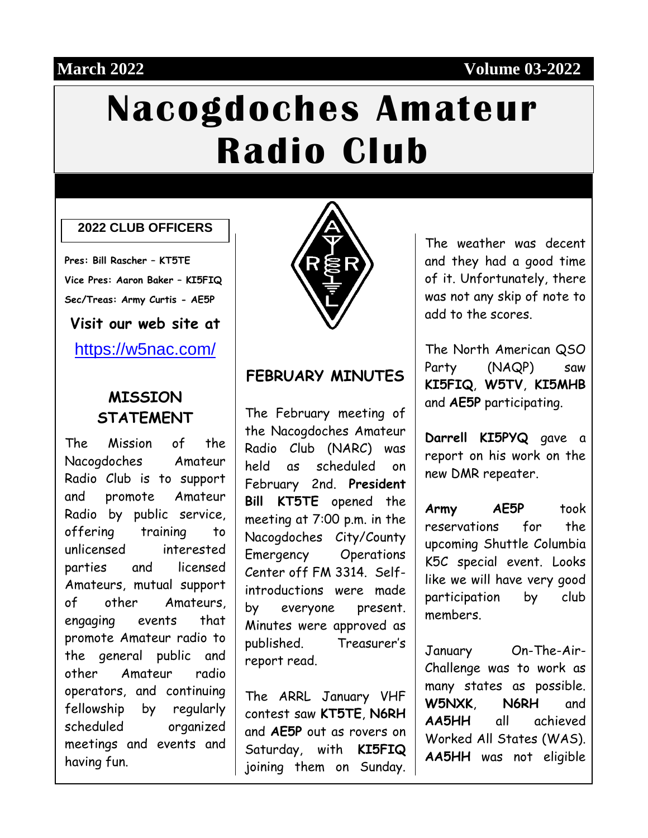#### **March 2022 Volume 03-2022**

# **Nacogdoches Amateur Radio Club**

#### **2022 CLUB OFFICERS**

**Pres: Bill Rascher – KT5TE Vice Pres: Aaron Baker – KI5FIQ Sec/Treas: Army Curtis - AE5P**

**Visit our web site at**

<https://w5nac.com/>

#### **MISSION STATEMENT**

The Mission of the Nacogdoches Amateur Radio Club is to support and promote Amateur Radio by public service, offering training to unlicensed interested parties and licensed Amateurs, mutual support of other Amateurs, engaging events that promote Amateur radio to the general public and other Amateur radio operators, and continuing fellowship by regularly scheduled organized meetings and events and having fun.



#### **FEBRUARY MINUTES**

The February meeting of the Nacogdoches Amateur Radio Club (NARC) was held as scheduled on February 2nd. **President Bill KT5TE** opened the meeting at 7:00 p.m. in the Nacogdoches City/County Emergency Operations Center off FM 3314. Selfintroductions were made by everyone present. Minutes were approved as published. Treasurer's report read.

The ARRL January VHF contest saw **KT5TE**, **N6RH** and **AE5P** out as rovers on Saturday, with **KI5FIQ** joining them on Sunday.

The weather was decent and they had a good time of it. Unfortunately, there was not any skip of note to add to the scores.

The North American QSO Party (NAQP) saw **KI5FIQ**, **W5TV**, **KI5MHB** and **AE5P** participating.

**Darrell KI5PYQ** gave a report on his work on the new DMR repeater.

**Army AE5P** took reservations for the upcoming Shuttle Columbia K5C special event. Looks like we will have very good participation by club members.

January On-The-Air-Challenge was to work as many states as possible. **W5NXK**, **N6RH** and **AA5HH** all achieved Worked All States (WAS). **AA5HH** was not eligible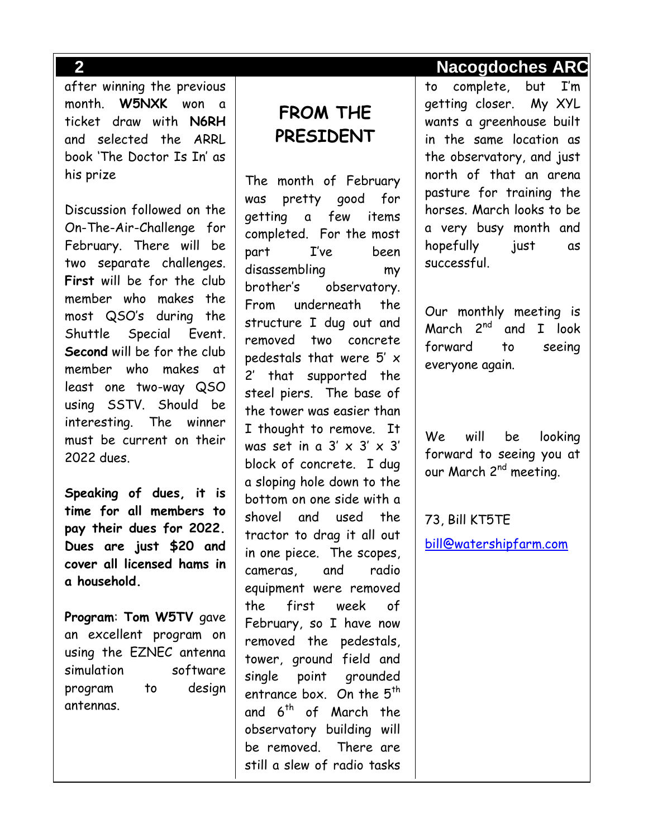after winning the previous month. **W5NXK** won a ticket draw with **N6RH** and selected the ARRL book 'The Doctor Is In' as his prize

Discussion followed on the On-The-Air-Challenge for February. There will be two separate challenges. **First** will be for the club member who makes the most QSO's during the Shuttle Special Event. **Second** will be for the club member who makes at least one two-way QSO using SSTV. Should be interesting. The winner must be current on their 2022 dues.

**Speaking of dues, it is time for all members to pay their dues for 2022. Dues are just \$20 and cover all licensed hams in a household.** 

**Program**: **Tom W5TV** gave an excellent program on using the EZNEC antenna simulation software program to design antennas.

# **FROM THE PRESIDENT**

The month of February was pretty good for getting a few items completed. For the most part I've been disassembling my brother's observatory. From underneath the structure I dug out and removed two concrete pedestals that were 5' x 2' that supported the steel piers. The base of the tower was easier than I thought to remove. It was set in a  $3' \times 3' \times 3'$ block of concrete. I dug a sloping hole down to the bottom on one side with a shovel and used the tractor to drag it all out in one piece. The scopes, cameras, and radio equipment were removed the first week of February, so I have now removed the pedestals, tower, ground field and single point grounded entrance box. On the  $5<sup>th</sup>$ and 6<sup>th</sup> of March the observatory building will be removed. There are still a slew of radio tasks

to complete, but I'm getting closer. My XYL wants a greenhouse built in the same location as the observatory, and just north of that an arena pasture for training the horses. March looks to be a very busy month and hopefully just as successful.

Our monthly meeting is March 2<sup>nd</sup> and I look forward to seeing everyone again.

We will be looking forward to seeing you at our March 2<sup>nd</sup> meeting.

73, Bill KT5TE [bill@watershipfarm.com](mailto:bill@watershipfarm.com)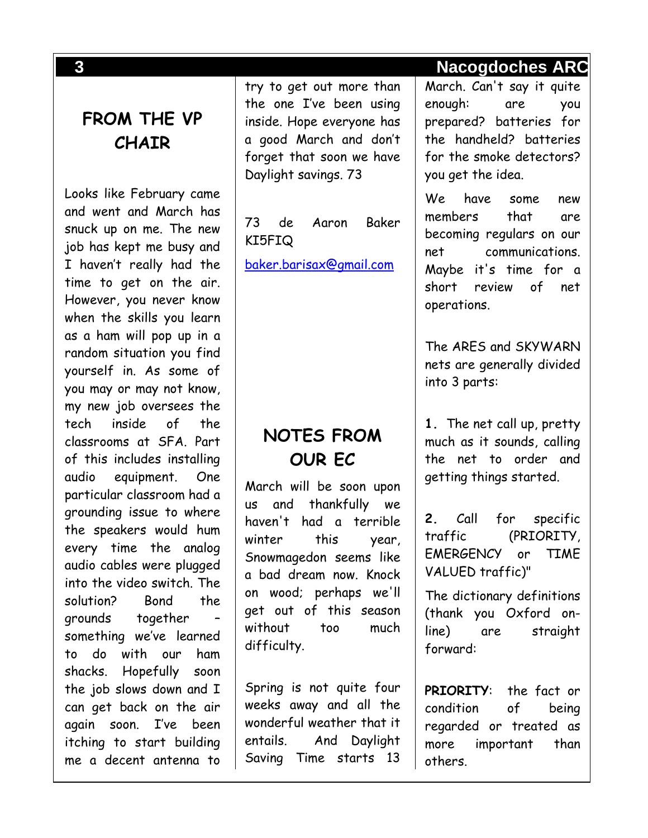**FROM THE VP CHAIR**

Looks like February came and went and March has snuck up on me. The new job has kept me busy and I haven't really had the time to get on the air. However, you never know when the skills you learn as a ham will pop up in a random situation you find yourself in. As some of you may or may not know, my new job oversees the tech inside of the classrooms at SFA. Part of this includes installing audio equipment. One particular classroom had a grounding issue to where the speakers would hum every time the analog audio cables were plugged into the video switch. The solution? Bond the grounds together – something we've learned to do with our ham shacks. Hopefully soon the job slows down and I can get back on the air again soon. I've been itching to start building me a decent antenna to try to get out more than the one I've been using inside. Hope everyone has a good March and don't forget that soon we have Daylight savings. 73

73 de Aaron Baker KI5FIQ

[baker.barisax@gmail.com](mailto:baker.barisax@gmail.com)

# **NOTES FROM OUR EC**

March will be soon upon us and thankfully we haven't had a terrible winter this year, Snowmagedon seems like a bad dream now. Knock on wood; perhaps we'll get out of this season without too much difficulty.

Spring is not quite four weeks away and all the wonderful weather that it entails. And Daylight Saving Time starts 13

#### **3 Nacogdoches ARC**

March. Can't say it quite enough: are you prepared? batteries for the handheld? batteries for the smoke detectors? you get the idea.

We have some new members that are becoming regulars on our net communications. Maybe it's time for a short review of net operations.

The ARES and SKYWARN nets are generally divided into 3 parts:

**1.** The net call up, pretty much as it sounds, calling the net to order and getting things started.

**2.** Call for specific traffic (PRIORITY, EMERGENCY or TIME VALUED traffic)"

The dictionary definitions (thank you Oxford online) are straight forward:

**PRIORITY**: the fact or condition of being regarded or treated as more important than others.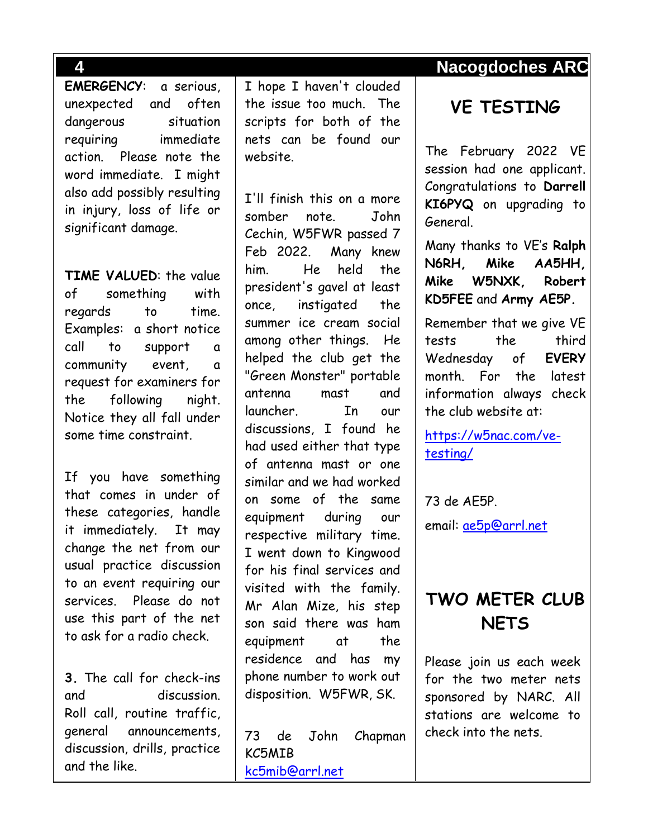**EMERGENCY**: a serious, unexpected and often dangerous situation requiring immediate action. Please note the word immediate. I might also add possibly resulting in injury, loss of life or significant damage.

**TIME VALUED**: the value of something with regards to time. Examples: a short notice call to support a community event, a request for examiners for the following night. Notice they all fall under some time constraint.

If you have something that comes in under of these categories, handle it immediately. It may change the net from our usual practice discussion to an event requiring our services. Please do not use this part of the net to ask for a radio check.

**3.** The call for check-ins and discussion. Roll call, routine traffic, general announcements, discussion, drills, practice and the like.

I hope I haven't clouded the issue too much. The scripts for both of the nets can be found our website.

I'll finish this on a more somber note. John Cechin, W5FWR passed 7 Feb 2022. Many knew him. He held the president's gavel at least once, instigated the summer ice cream social among other things. He helped the club get the "Green Monster" portable antenna mast and launcher. In our discussions, I found he had used either that type of antenna mast or one similar and we had worked on some of the same equipment during our respective military time. I went down to Kingwood for his final services and visited with the family. Mr Alan Mize, his step son said there was ham equipment at the residence and has my phone number to work out disposition. W5FWR, SK.

73 de John Chapman KC5MIB [kc5mib@arrl.net](mailto:kc5mib@arrl.net)

# **4 Nacogdoches ARC**

## **VE TESTING**

The February 2022 VE session had one applicant. Congratulations to **Darrell KI6PYQ** on upgrading to General.

Many thanks to VE's **Ralph N6RH, Mike AA5HH, Mike W5NXK, Robert KD5FEE** and **Army AE5P.**

Remember that we give VE tests the third Wednesday of **EVERY** month. For the latest information always check the club website at:

[https://w5nac.com/ve](https://w5nac.com/ve-testing/)[testing/](https://w5nac.com/ve-testing/)

73 de AE5P.

email: [ae5p@arrl.net](mailto:ae5p@arrl.net)

# **TWO METER CLUB NETS**

Please join us each week for the two meter nets sponsored by NARC. All stations are welcome to check into the nets.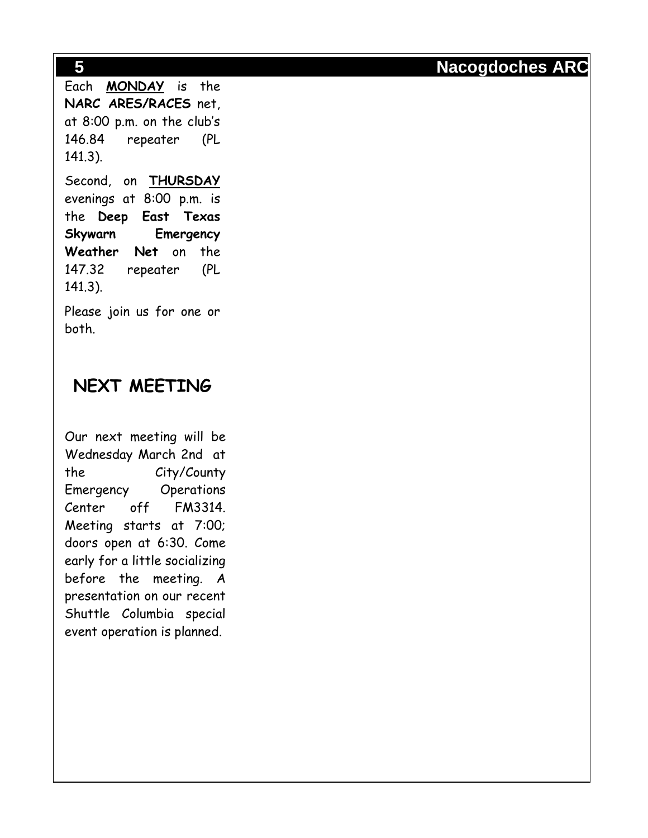Each **MONDAY** is the **NARC ARES/RACES** net, at 8:00 p.m. on the club's 146.84 repeater (PL 141.3).

Second, on **THURSDAY** evenings at 8:00 p.m. is the **Deep East Texas Skywarn Emergency Weather Net** on the 147.32 repeater (PL 141.3).

Please join us for one or both.

# **NEXT MEETING**

Our next meeting will be Wednesday March 2nd at the City/County Emergency Operations Center off FM3314. Meeting starts at 7:00; doors open at 6:30. Come early for a little socializing before the meeting. A presentation on our recent Shuttle Columbia special event operation is planned.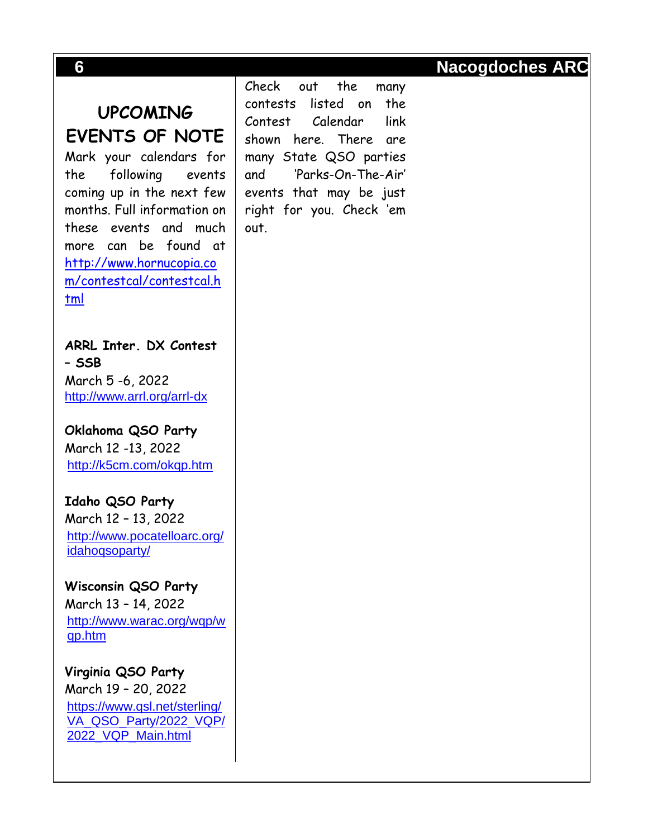# **UPCOMING EVENTS OF NOTE**

Mark your calendars for the following events coming up in the next few months. Full information on these events and much more can be found at [http://www.hornucopia.co](http://www.hornucopia.com/contestcal/contestcal.html) [m/contestcal/contestcal.h](http://www.hornucopia.com/contestcal/contestcal.html) [tml](http://www.hornucopia.com/contestcal/contestcal.html)

**ARRL Inter. DX Contest – SSB** March 5 -6, 2022 <http://www.arrl.org/arrl-dx>

**Oklahoma QSO Party** March 12 -13, 2022 <http://k5cm.com/okqp.htm>

**Idaho QSO Party** March 12 – 13, 2022 [http://www.pocatelloarc.org/](http://www.pocatelloarc.org/idahoqsoparty/) [idahoqsoparty/](http://www.pocatelloarc.org/idahoqsoparty/)

**Wisconsin QSO Party** March 13 – 14, 2022 [http://www.warac.org/wqp/w](http://www.warac.org/wqp/wqp.htm) [qp.htm](http://www.warac.org/wqp/wqp.htm)

**Virginia QSO Party** March 19 – 20, 2022 [https://www.qsl.net/sterling/](https://www.qsl.net/sterling/VA_QSO_Party/2022_VQP/2022_VQP_Main.html) [VA\\_QSO\\_Party/2022\\_VQP/](https://www.qsl.net/sterling/VA_QSO_Party/2022_VQP/2022_VQP_Main.html) [2022\\_VQP\\_Main.html](https://www.qsl.net/sterling/VA_QSO_Party/2022_VQP/2022_VQP_Main.html)

Check out the many contests listed on the Contest Calendar link shown here. There are many State QSO parties and 'Parks-On-The-Air' events that may be just right for you. Check 'em out.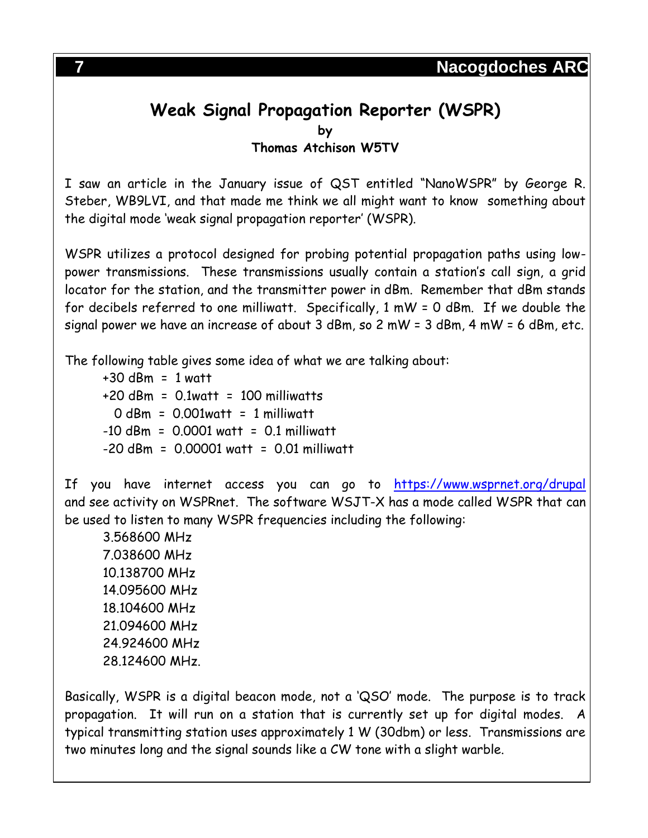# **Weak Signal Propagation Reporter (WSPR) by**

**Thomas Atchison W5TV**

I saw an article in the January issue of QST entitled "NanoWSPR" by George R. Steber, WB9LVI, and that made me think we all might want to know something about the digital mode 'weak signal propagation reporter' (WSPR).

WSPR utilizes a protocol designed for probing potential propagation paths using lowpower transmissions. These transmissions usually contain a station's call sign, a grid locator for the station, and the transmitter power in dBm. Remember that dBm stands for decibels referred to one milliwatt. Specifically, 1 mW = 0 dBm. If we double the signal power we have an increase of about 3 dBm, so 2 mW = 3 dBm, 4 mW = 6 dBm, etc.

The following table gives some idea of what we are talking about:

 $+30$  dBm = 1 watt  $+20$  dBm = 0.1watt = 100 milliwatts  $0$  dBm =  $0.001$ watt = 1 milliwatt  $-10$  dBm = 0.0001 watt = 0.1 milliwatt -20 dBm = 0.00001 watt = 0.01 milliwatt

If you have internet access you can go to <https://www.wsprnet.org/drupal> and see activity on WSPRnet. The software WSJT-X has a mode called WSPR that can be used to listen to many WSPR frequencies including the following:

3.568600 MHz 7.038600 MHz 10.138700 MHz 14.095600 MHz 18.104600 MHz 21.094600 MHz 24.924600 MHz 28.124600 MHz.

Basically, WSPR is a digital beacon mode, not a 'QSO' mode. The purpose is to track propagation. It will run on a station that is currently set up for digital modes. A typical transmitting station uses approximately 1 W (30dbm) or less. Transmissions are two minutes long and the signal sounds like a CW tone with a slight warble.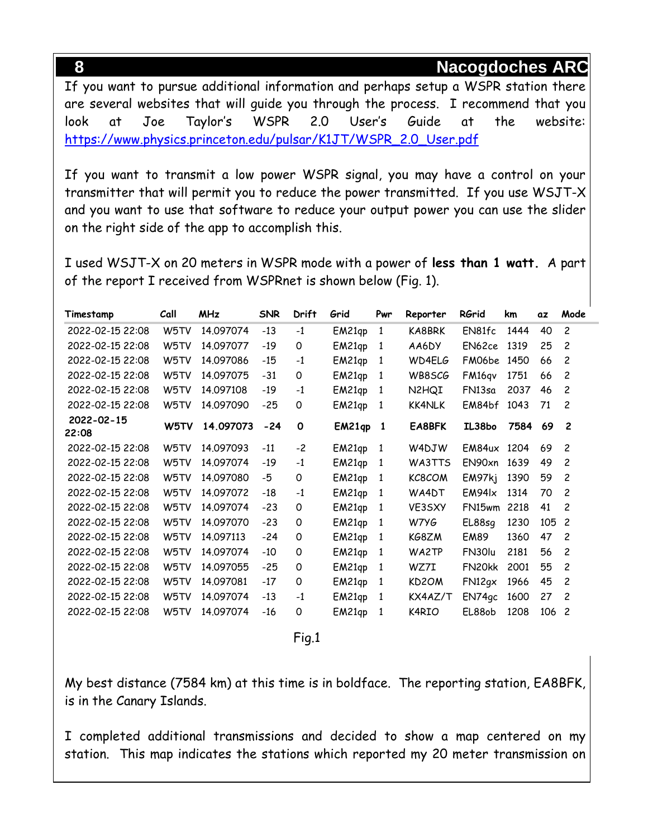If you want to pursue additional information and perhaps setup a WSPR station there are several websites that will guide you through the process. I recommend that you look at Joe Taylor's WSPR 2.0 User's Guide at the website: [https://www.physics.princeton.edu/pulsar/K1JT/WSPR\\_2.0\\_User.pdf](https://www.physics.princeton.edu/pulsar/K1JT/WSPR_2.0_User.pdf)

If you want to transmit a low power WSPR signal, you may have a control on your transmitter that will permit you to reduce the power transmitted. If you use WSJT-X and you want to use that software to reduce your output power you can use the slider on the right side of the app to accomplish this.

I used WSJT-X on 20 meters in WSPR mode with a power of **less than 1 watt.** A part of the report I received from WSPRnet is shown below (Fig. 1).

| Timestamp        | Call | <b>MHz</b> | <b>SNR</b> | Drift    | Grid   | Pwr          | Reporter           | RGrid             | km   | αz  | Mode           |
|------------------|------|------------|------------|----------|--------|--------------|--------------------|-------------------|------|-----|----------------|
| 2022-02-15 22:08 | W5TV | 14.097074  | $-13$      | $-1$     | EM21qp | 1            | KA8BRK             | EN81fc            | 1444 | 40  | $\overline{c}$ |
| 2022-02-15 22:08 | W5TV | 14.097077  | $-19$      | 0        | EM21qp | 1            | AA6DY              | EN62ce            | 1319 | 25  | $\overline{c}$ |
| 2022-02-15 22:08 | W5TV | 14.097086  | $-15$      | $-1$     | EM21qp | 1            | WD4ELG             | FM06be            | 1450 | 66  | 2              |
| 2022-02-15 22:08 | W5TV | 14,097075  | $-31$      | 0        | EM21qp | 1            | WB8SCG             | FM16qv            | 1751 | 66  | $\overline{c}$ |
| 2022-02-15 22:08 | W5TV | 14.097108  | -19        | $-1$     | EM21qp | 1            | N2HQI              | FN13sa            | 2037 | 46  | $\overline{c}$ |
| 2022-02-15 22:08 | W5TV | 14.097090  | $-25$      | 0        | EM21qp | 1            | <b>KK4NLK</b>      | EM84bf            | 1043 | 71  | 2              |
| 2022-02-15       | W5TV | 14.097073  | $-24$      | 0        | EM21qp | $\mathbf{1}$ | EA8BFK             | IL38bo            | 7584 | 69  | $\overline{c}$ |
| 22:08            |      |            |            |          |        |              |                    |                   |      |     |                |
| 2022-02-15 22:08 | W5TV | 14.097093  | $-11$      | $-2$     | EM21qp | 1            | W4DJW              | EM84ux            | 1204 | 69  | $\overline{c}$ |
| 2022-02-15 22:08 | W5TV | 14.097074  | $-19$      | $-1$     | EM21qp | 1            | WA3TTS             | EN90xn            | 1639 | 49  | $\overline{c}$ |
| 2022-02-15 22:08 | W5TV | 14,097080  | -5         | $\Omega$ | EM21qp | 1            | KC8COM             | EM97kj            | 1390 | 59  | $\overline{c}$ |
| 2022-02-15 22:08 | W5TV | 14.097072  | $-18$      | $-1$     | EM21qp | 1            | WA4DT              | EM94 <sub>x</sub> | 1314 | 70  | $\overline{c}$ |
| 2022-02-15 22:08 | W5TV | 14.097074  | $-23$      | 0        | EM21qp | 1            | VE3SXY             | FN15wm            | 2218 | 41  | 2              |
| 2022-02-15 22:08 | W5TV | 14.097070  | $-23$      | 0        | EM21qp | 1            | W7YG               | EL88sq            | 1230 | 105 | $\overline{c}$ |
| 2022-02-15 22:08 | W5TV | 14.097113  | $-24$      | $\Omega$ | EM21qp | 1            | KG8ZM              | <b>EM89</b>       | 1360 | 47  | $\overline{c}$ |
| 2022-02-15 22:08 | W5TV | 14.097074  | $-10$      | 0        | EM21qp | 1            | WA2TP              | FN30lu            | 2181 | 56  | $\overline{c}$ |
| 2022-02-15 22:08 | W5TV | 14.097055  | $-25$      | $\Omega$ | EM21qp | 1            | WZ7I               | FN20kk            | 2001 | 55  | 2              |
| 2022-02-15 22:08 | W5TV | 14.097081  | $-17$      | 0        | EM21qp | 1            | KD <sub>2</sub> OM | FN12gx            | 1966 | 45  | $\overline{c}$ |
| 2022-02-15 22:08 | W5TV | 14.097074  | $-13$      | $-1$     | EM21qp | 1            | KX4AZ/T            | EN74gc            | 1600 | 27  | $\overline{c}$ |
| 2022-02-15 22:08 | W5TV | 14.097074  | $-16$      | 0        | EM21qp | 1            | K4RIO              | EL88ob            | 1208 | 106 | $\overline{c}$ |

Fig.1

My best distance (7584 km) at this time is in boldface. The reporting station, EA8BFK, is in the Canary Islands.

I completed additional transmissions and decided to show a map centered on my station. This map indicates the stations which reported my 20 meter transmission on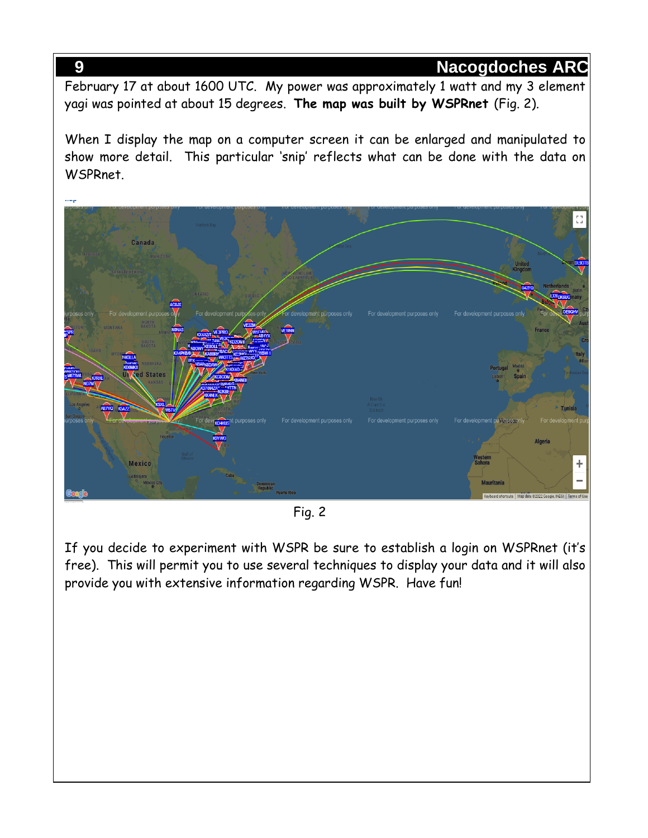February 17 at about 1600 UTC. My power was approximately 1 watt and my 3 element yagi was pointed at about 15 degrees. **The map was built by WSPRnet** (Fig. 2).

When I display the map on a computer screen it can be enlarged and manipulated to show more detail. This particular 'snip' reflects what can be done with the data on WSPRnet.



Fig. 2

If you decide to experiment with WSPR be sure to establish a login on WSPRnet (it's free). This will permit you to use several techniques to display your data and it will also provide you with extensive information regarding WSPR. Have fun!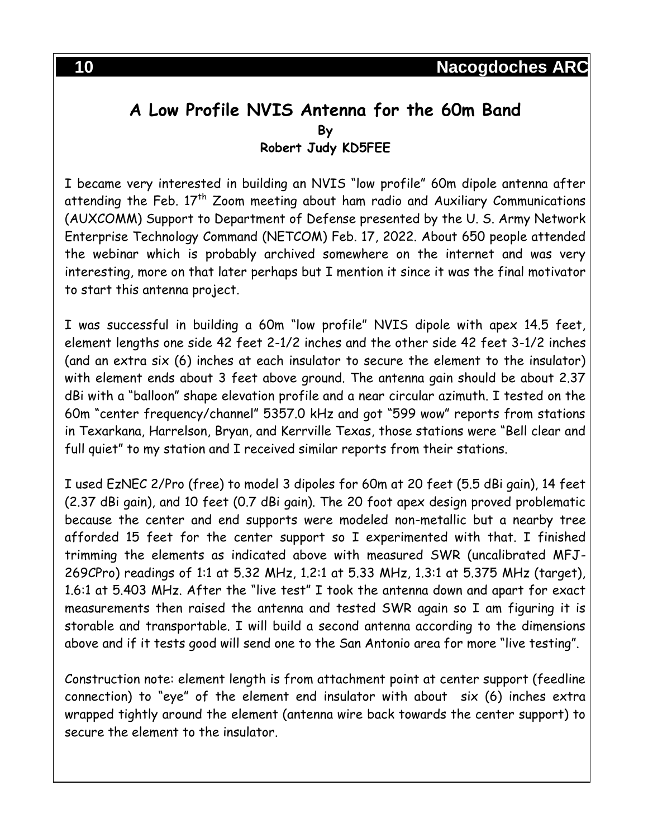#### **A Low Profile NVIS Antenna for the 60m Band By Robert Judy KD5FEE**

I became very interested in building an NVIS "low profile" 60m dipole antenna after attending the Feb.  $17<sup>th</sup>$  Zoom meeting about ham radio and Auxiliary Communications (AUXCOMM) Support to Department of Defense presented by the U. S. Army Network Enterprise Technology Command (NETCOM) Feb. 17, 2022. About 650 people attended the webinar which is probably archived somewhere on the internet and was very interesting, more on that later perhaps but I mention it since it was the final motivator to start this antenna project.

I was successful in building a 60m "low profile" NVIS dipole with apex 14.5 feet, element lengths one side 42 feet 2-1/2 inches and the other side 42 feet 3-1/2 inches (and an extra six (6) inches at each insulator to secure the element to the insulator) with element ends about 3 feet above ground. The antenna gain should be about 2.37 dBi with a "balloon" shape elevation profile and a near circular azimuth. I tested on the 60m "center frequency/channel" 5357.0 kHz and got "599 wow" reports from stations in Texarkana, Harrelson, Bryan, and Kerrville Texas, those stations were "Bell clear and full quiet" to my station and I received similar reports from their stations.

I used EzNEC 2/Pro (free) to model 3 dipoles for 60m at 20 feet (5.5 dBi gain), 14 feet (2.37 dBi gain), and 10 feet (0.7 dBi gain). The 20 foot apex design proved problematic because the center and end supports were modeled non-metallic but a nearby tree afforded 15 feet for the center support so I experimented with that. I finished trimming the elements as indicated above with measured SWR (uncalibrated MFJ-269CPro) readings of 1:1 at 5.32 MHz, 1.2:1 at 5.33 MHz, 1.3:1 at 5.375 MHz (target), 1.6:1 at 5.403 MHz. After the "live test" I took the antenna down and apart for exact measurements then raised the antenna and tested SWR again so I am figuring it is storable and transportable. I will build a second antenna according to the dimensions above and if it tests good will send one to the San Antonio area for more "live testing".

Construction note: element length is from attachment point at center support (feedline connection) to "eye" of the element end insulator with about six (6) inches extra wrapped tightly around the element (antenna wire back towards the center support) to secure the element to the insulator.